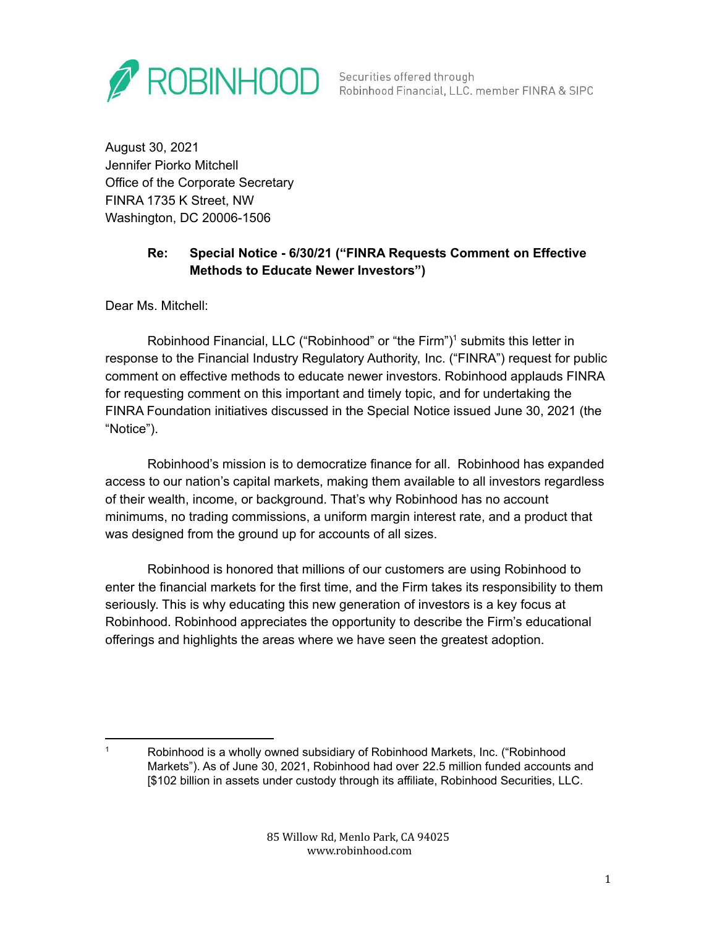

Securities offered through Robinhood Financial, LLC. member FINRA & SIPC

August 30, 2021 Jennifer Piorko Mitchell Office of the Corporate Secretary FINRA 1735 K Street, NW Washington, DC 20006-1506

# **Re: Special Notice - 6/30/21 ("FINRA Requests Comment on Effective Methods to Educate Newer Investors")**

Dear Ms. Mitchell:

Robinhood Financial, LLC ("Robinhood" or "the Firm")<sup>1</sup> submits this letter in response to the Financial Industry Regulatory Authority, Inc. ("FINRA") request for public comment on effective methods to educate newer investors. Robinhood applauds FINRA for requesting comment on this important and timely topic, and for undertaking the FINRA Foundation initiatives discussed in the Special Notice issued June 30, 2021 (the "Notice").

Robinhood's mission is to democratize finance for all. Robinhood has expanded access to our nation's capital markets, making them available to all investors regardless of their wealth, income, or background. That's why Robinhood has no account minimums, no trading commissions, a uniform margin interest rate, and a product that was designed from the ground up for accounts of all sizes.

Robinhood is honored that millions of our customers are using Robinhood to enter the financial markets for the first time, and the Firm takes its responsibility to them seriously. This is why educating this new generation of investors is a key focus at Robinhood. Robinhood appreciates the opportunity to describe the Firm's educational offerings and highlights the areas where we have seen the greatest adoption.

<sup>1</sup> Robinhood is a wholly owned subsidiary of Robinhood Markets, Inc. ("Robinhood Markets"). As of June 30, 2021, Robinhood had over 22.5 million funded accounts and [\$102 billion in assets under custody through its affiliate, Robinhood Securities, LLC.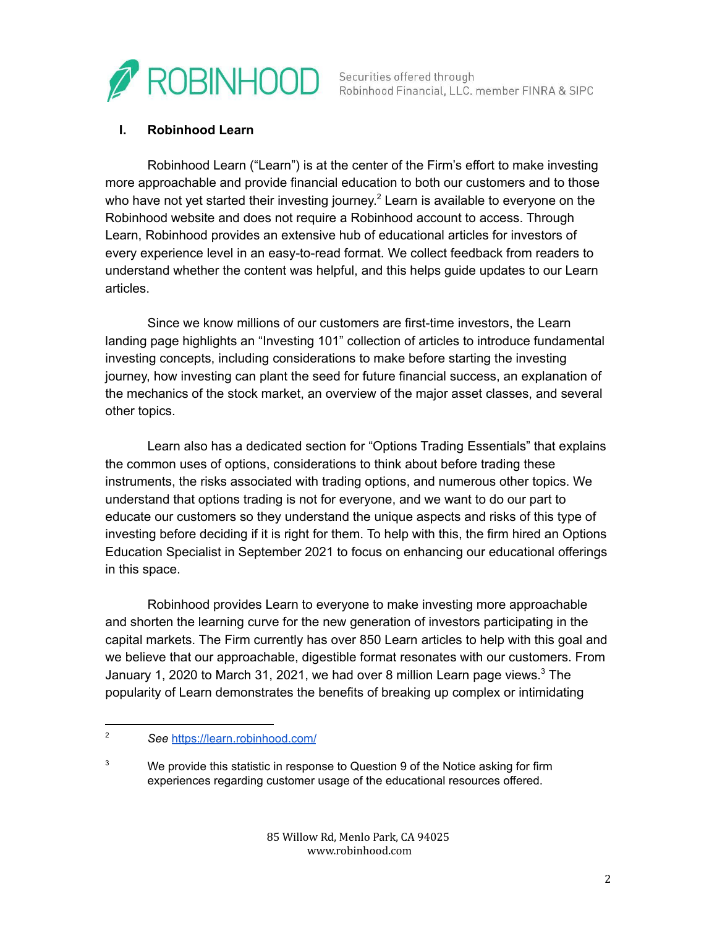

Securities offered through Robinhood Financial, LLC. member FINRA & SIPC

#### **I. Robinhood Learn**

Robinhood Learn ("Learn") is at the center of the Firm's effort to make investing more approachable and provide financial education to both our customers and to those who have not yet started their investing journey.<sup>2</sup> Learn is available to everyone on the Robinhood website and does not require a Robinhood account to access. Through Learn, Robinhood provides an extensive hub of educational articles for investors of every experience level in an easy-to-read format. We collect feedback from readers to understand whether the content was helpful, and this helps guide updates to our Learn articles.

Since we know millions of our customers are first-time investors, the Learn landing page highlights an "Investing 101" collection of articles to introduce fundamental investing concepts, including considerations to make before starting the investing journey, how investing can plant the seed for future financial success, an explanation of the mechanics of the stock market, an overview of the major asset classes, and several other topics.

Learn also has a dedicated section for "Options Trading Essentials" that explains the common uses of options, considerations to think about before trading these instruments, the risks associated with trading options, and numerous other topics. We understand that options trading is not for everyone, and we want to do our part to educate our customers so they understand the unique aspects and risks of this type of investing before deciding if it is right for them. To help with this, the firm hired an Options Education Specialist in September 2021 to focus on enhancing our educational offerings in this space.

Robinhood provides Learn to everyone to make investing more approachable and shorten the learning curve for the new generation of investors participating in the capital markets. The Firm currently has over 850 Learn articles to help with this goal and we believe that our approachable, digestible format resonates with our customers. From January 1, 2020 to March 31, 2021, we had over 8 million Learn page views.<sup>3</sup> The popularity of Learn demonstrates the benefits of breaking up complex or intimidating

<sup>2</sup> *See* <https://learn.robinhood.com/>

 $3$  We provide this statistic in response to Question 9 of the Notice asking for firm experiences regarding customer usage of the educational resources offered.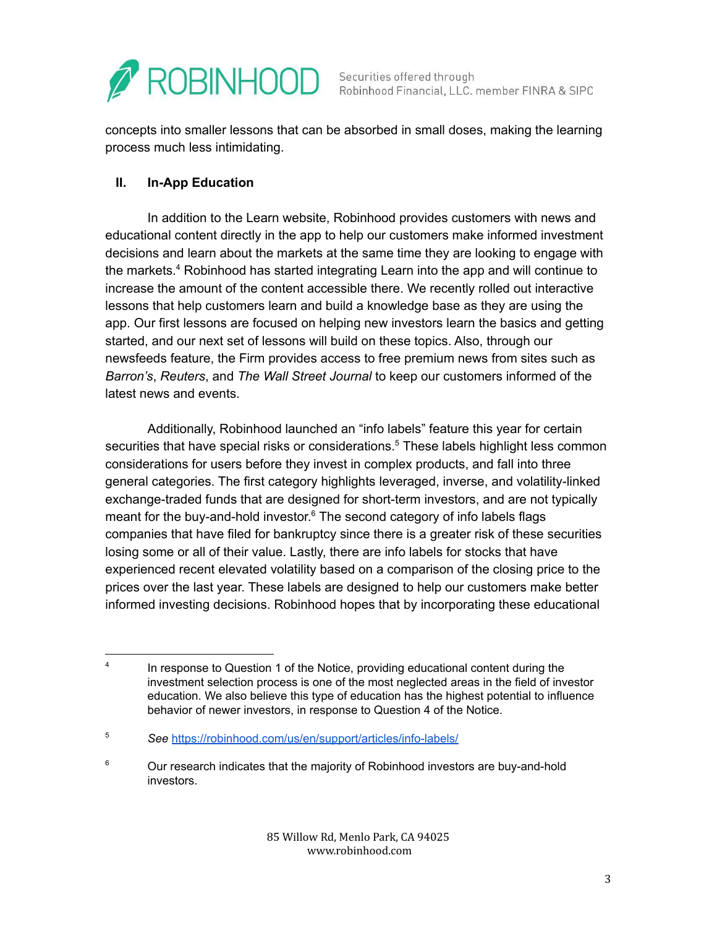

Securities offered through<br>Robinhood Financial, LLC. member FINRA & SIPC

concepts into smaller lessons that can be absorbed in small doses, making the learning process much less intimidating.

## **II. In-App Education**

In addition to the Learn website, Robinhood provides customers with news and educational content directly in the app to help our customers make informed investment decisions and learn about the markets at the same time they are looking to engage with the markets.<sup>4</sup> Robinhood has started integrating Learn into the app and will continue to increase the amount of the content accessible there. We recently rolled out interactive lessons that help customers learn and build a knowledge base as they are using the app. Our first lessons are focused on helping new investors learn the basics and getting started, and our next set of lessons will build on these topics. Also, through our newsfeeds feature, the Firm provides access to free premium news from sites such as *Barron's*, *Reuters*, and *The Wall Street Journal* to keep our customers informed of the latest news and events.

Additionally, Robinhood launched an "info labels" feature this year for certain securities that have special risks or considerations.<sup>5</sup> These labels highlight less common considerations for users before they invest in complex products, and fall into three general categories. The first category highlights leveraged, inverse, and volatility-linked exchange-traded funds that are designed for short-term investors, and are not typically meant for the buy-and-hold investor. $6$  The second category of info labels flags companies that have filed for bankruptcy since there is a greater risk of these securities losing some or all of their value. Lastly, there are info labels for stocks that have experienced recent elevated volatility based on a comparison of the closing price to the prices over the last year. These labels are designed to help our customers make better informed investing decisions. Robinhood hopes that by incorporating these educational

<sup>4</sup> In response to Question 1 of the Notice, providing educational content during the investment selection process is one of the most neglected areas in the field of investor education. We also believe this type of education has the highest potential to influence behavior of newer investors, in response to Question 4 of the Notice.

<sup>5</sup> *See* <https://robinhood.com/us/en/support/articles/info-labels/>

 $6$  Our research indicates that the majority of Robinhood investors are buy-and-hold investors.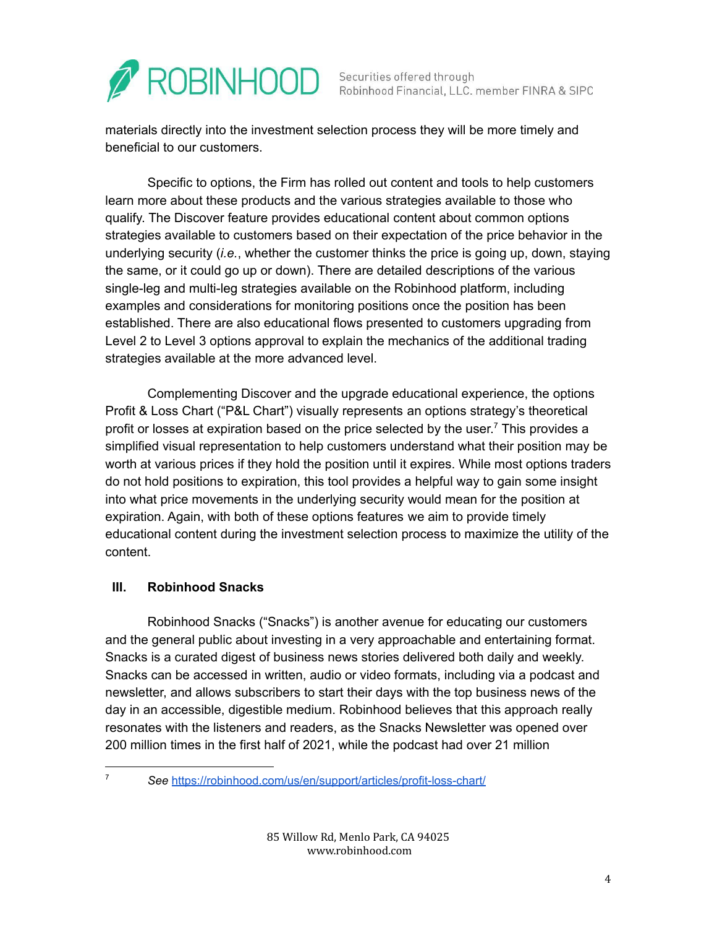

materials directly into the investment selection process they will be more timely and beneficial to our customers.

Specific to options, the Firm has rolled out content and tools to help customers learn more about these products and the various strategies available to those who qualify. The Discover feature provides educational content about common options strategies available to customers based on their expectation of the price behavior in the underlying security (*i.e.*, whether the customer thinks the price is going up, down, staying the same, or it could go up or down). There are detailed descriptions of the various single-leg and multi-leg strategies available on the Robinhood platform, including examples and considerations for monitoring positions once the position has been established. There are also educational flows presented to customers upgrading from Level 2 to Level 3 options approval to explain the mechanics of the additional trading strategies available at the more advanced level.

Complementing Discover and the upgrade educational experience, the options Profit & Loss Chart ("P&L Chart") visually represents an options strategy's theoretical profit or losses at expiration based on the price selected by the user.<sup>7</sup> This provides a simplified visual representation to help customers understand what their position may be worth at various prices if they hold the position until it expires. While most options traders do not hold positions to expiration, this tool provides a helpful way to gain some insight into what price movements in the underlying security would mean for the position at expiration. Again, with both of these options features we aim to provide timely educational content during the investment selection process to maximize the utility of the content.

## **III. Robinhood Snacks**

Robinhood Snacks ("Snacks") is another avenue for educating our customers and the general public about investing in a very approachable and entertaining format. Snacks is a curated digest of business news stories delivered both daily and weekly. Snacks can be accessed in written, audio or video formats, including via a podcast and newsletter, and allows subscribers to start their days with the top business news of the day in an accessible, digestible medium. Robinhood believes that this approach really resonates with the listeners and readers, as the Snacks Newsletter was opened over 200 million times in the first half of 2021, while the podcast had over 21 million

<sup>7</sup> *See* <https://robinhood.com/us/en/support/articles/profit-loss-chart/>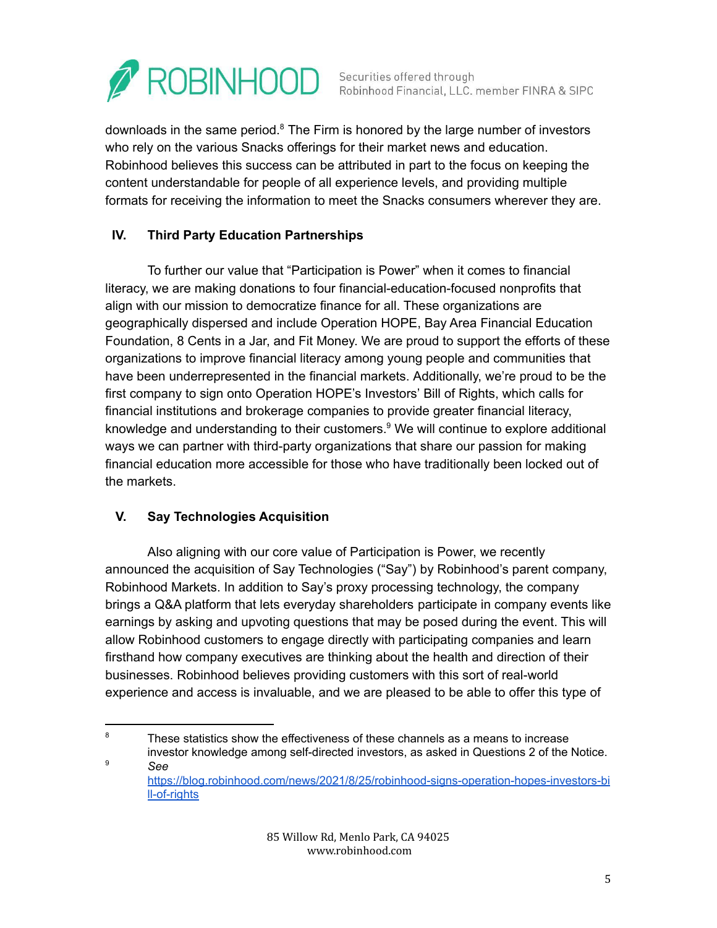

downloads in the same period.<sup>8</sup> The Firm is honored by the large number of investors who rely on the various Snacks offerings for their market news and education. Robinhood believes this success can be attributed in part to the focus on keeping the content understandable for people of all experience levels, and providing multiple formats for receiving the information to meet the Snacks consumers wherever they are.

# **IV. Third Party Education Partnerships**

To further our value that "Participation is Power" when it comes to financial literacy, we are making donations to four financial-education-focused nonprofits that align with our mission to democratize finance for all. These organizations are geographically dispersed and include Operation HOPE, Bay Area Financial Education Foundation, 8 Cents in a Jar, and Fit Money. We are proud to support the efforts of these organizations to improve financial literacy among young people and communities that have been underrepresented in the financial markets. Additionally, we're proud to be the first company to sign onto Operation HOPE's Investors' Bill of Rights, which calls for financial institutions and brokerage companies to provide greater financial literacy, knowledge and understanding to their customers. $9$  We will continue to explore additional ways we can partner with third-party organizations that share our passion for making financial education more accessible for those who have traditionally been locked out of the markets.

## **V. Say Technologies Acquisition**

Also aligning with our core value of Participation is Power, we recently announced the acquisition of Say Technologies ("Say") by Robinhood's parent company, Robinhood Markets. In addition to Say's proxy processing technology, the company brings a Q&A platform that lets everyday shareholders participate in company events like earnings by asking and upvoting questions that may be posed during the event. This will allow Robinhood customers to engage directly with participating companies and learn firsthand how company executives are thinking about the health and direction of their businesses. Robinhood believes providing customers with this sort of real-world experience and access is invaluable, and we are pleased to be able to offer this type of

<sup>9</sup> *See*  $8$  These statistics show the effectiveness of these channels as a means to increase investor knowledge among self-directed investors, as asked in Questions 2 of the Notice.

[https://blog.robinhood.com/news/2021/8/25/robinhood-signs-operation-hopes-investors-bi](https://blog.robinhood.com/news/2021/8/25/robinhood-signs-operation-hopes-investors-bill-of-rights) [ll-of-rights](https://blog.robinhood.com/news/2021/8/25/robinhood-signs-operation-hopes-investors-bill-of-rights)